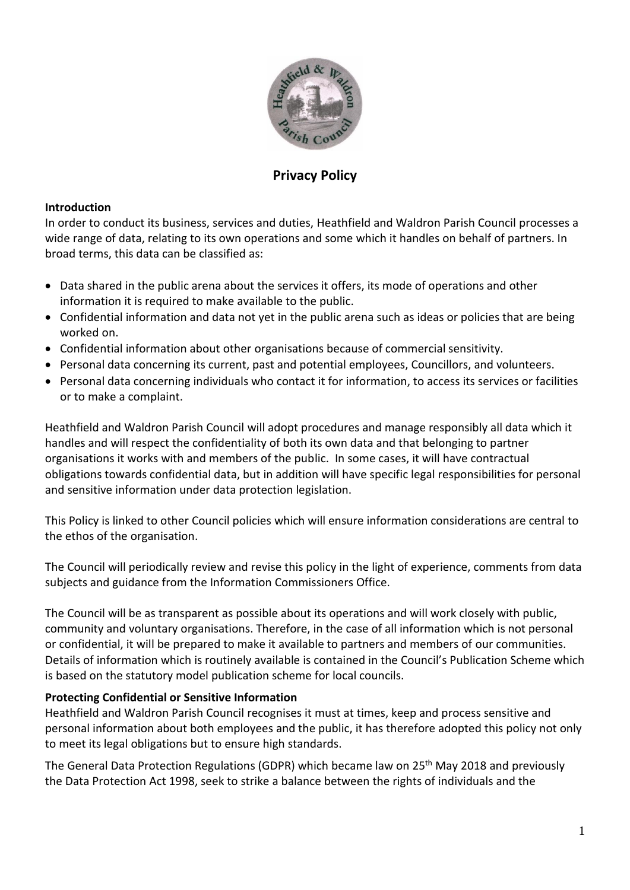

# **Privacy Policy**

#### **Introduction**

In order to conduct its business, services and duties, Heathfield and Waldron Parish Council processes a wide range of data, relating to its own operations and some which it handles on behalf of partners. In broad terms, this data can be classified as:

- Data shared in the public arena about the services it offers, its mode of operations and other information it is required to make available to the public.
- Confidential information and data not yet in the public arena such as ideas or policies that are being worked on.
- Confidential information about other organisations because of commercial sensitivity.
- Personal data concerning its current, past and potential employees, Councillors, and volunteers.
- Personal data concerning individuals who contact it for information, to access its services or facilities or to make a complaint.

Heathfield and Waldron Parish Council will adopt procedures and manage responsibly all data which it handles and will respect the confidentiality of both its own data and that belonging to partner organisations it works with and members of the public. In some cases, it will have contractual obligations towards confidential data, but in addition will have specific legal responsibilities for personal and sensitive information under data protection legislation.

This Policy is linked to other Council policies which will ensure information considerations are central to the ethos of the organisation.

The Council will periodically review and revise this policy in the light of experience, comments from data subjects and guidance from the Information Commissioners Office.

The Council will be as transparent as possible about its operations and will work closely with public, community and voluntary organisations. Therefore, in the case of all information which is not personal or confidential, it will be prepared to make it available to partners and members of our communities. Details of information which is routinely available is contained in the Council's Publication Scheme which is based on the statutory model publication scheme for local councils.

### **Protecting Confidential or Sensitive Information**

Heathfield and Waldron Parish Council recognises it must at times, keep and process sensitive and personal information about both employees and the public, it has therefore adopted this policy not only to meet its legal obligations but to ensure high standards.

The General Data Protection Regulations (GDPR) which became law on 25<sup>th</sup> May 2018 and previously the Data Protection Act 1998, seek to strike a balance between the rights of individuals and the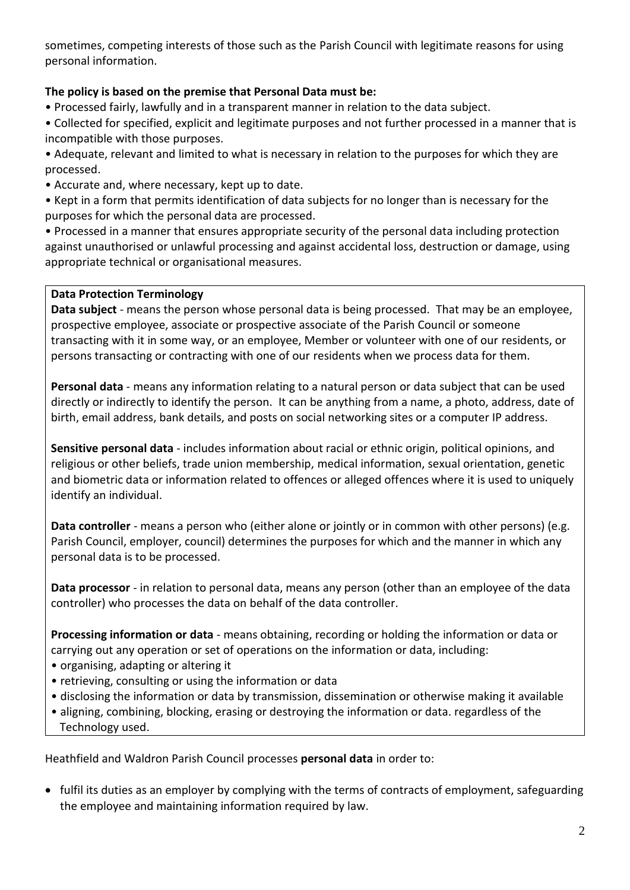sometimes, competing interests of those such as the Parish Council with legitimate reasons for using personal information.

# **The policy is based on the premise that Personal Data must be:**

• Processed fairly, lawfully and in a transparent manner in relation to the data subject.

• Collected for specified, explicit and legitimate purposes and not further processed in a manner that is incompatible with those purposes.

• Adequate, relevant and limited to what is necessary in relation to the purposes for which they are processed.

- Accurate and, where necessary, kept up to date.
- Kept in a form that permits identification of data subjects for no longer than is necessary for the purposes for which the personal data are processed.

• Processed in a manner that ensures appropriate security of the personal data including protection against unauthorised or unlawful processing and against accidental loss, destruction or damage, using appropriate technical or organisational measures.

# **Data Protection Terminology**

**Data subject** - means the person whose personal data is being processed. That may be an employee, prospective employee, associate or prospective associate of the Parish Council or someone transacting with it in some way, or an employee, Member or volunteer with one of our residents, or persons transacting or contracting with one of our residents when we process data for them.

**Personal data** - means any information relating to a natural person or data subject that can be used directly or indirectly to identify the person. It can be anything from a name, a photo, address, date of birth, email address, bank details, and posts on social networking sites or a computer IP address.

**Sensitive personal data** - includes information about racial or ethnic origin, political opinions, and religious or other beliefs, trade union membership, medical information, sexual orientation, genetic and biometric data or information related to offences or alleged offences where it is used to uniquely identify an individual.

**Data controller** - means a person who (either alone or jointly or in common with other persons) (e.g. Parish Council, employer, council) determines the purposes for which and the manner in which any personal data is to be processed.

**Data processor** - in relation to personal data, means any person (other than an employee of the data controller) who processes the data on behalf of the data controller.

**Processing information or data** - means obtaining, recording or holding the information or data or carrying out any operation or set of operations on the information or data, including:

- organising, adapting or altering it
- retrieving, consulting or using the information or data
- disclosing the information or data by transmission, dissemination or otherwise making it available
- aligning, combining, blocking, erasing or destroying the information or data. regardless of the Technology used.

Heathfield and Waldron Parish Council processes **personal data** in order to:

• fulfil its duties as an employer by complying with the terms of contracts of employment, safeguarding the employee and maintaining information required by law.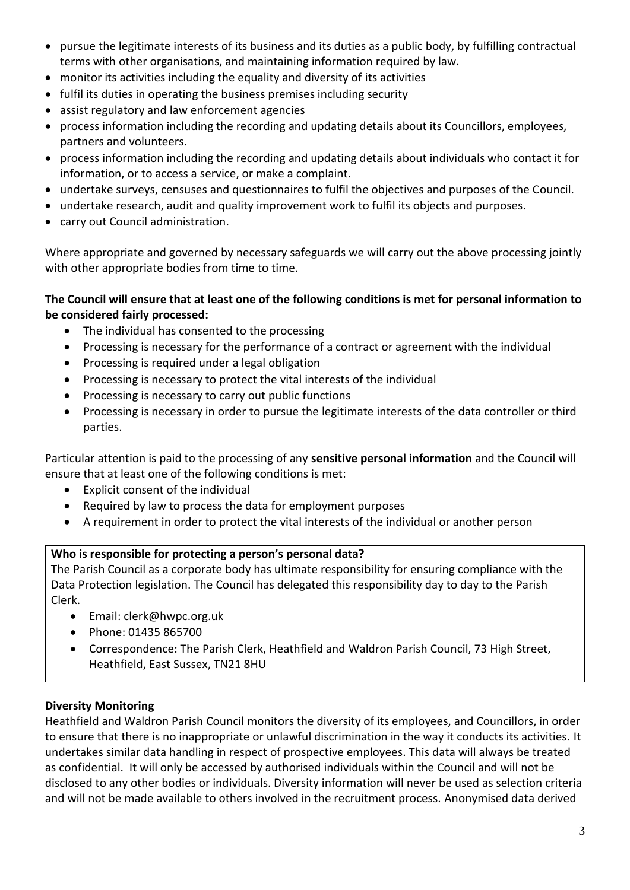- pursue the legitimate interests of its business and its duties as a public body, by fulfilling contractual terms with other organisations, and maintaining information required by law.
- monitor its activities including the equality and diversity of its activities
- fulfil its duties in operating the business premises including security
- assist regulatory and law enforcement agencies
- process information including the recording and updating details about its Councillors, employees, partners and volunteers.
- process information including the recording and updating details about individuals who contact it for information, or to access a service, or make a complaint.
- undertake surveys, censuses and questionnaires to fulfil the objectives and purposes of the Council.
- undertake research, audit and quality improvement work to fulfil its objects and purposes.
- carry out Council administration.

Where appropriate and governed by necessary safeguards we will carry out the above processing jointly with other appropriate bodies from time to time.

### **The Council will ensure that at least one of the following conditions is met for personal information to be considered fairly processed:**

- The individual has consented to the processing
- Processing is necessary for the performance of a contract or agreement with the individual
- Processing is required under a legal obligation
- Processing is necessary to protect the vital interests of the individual
- Processing is necessary to carry out public functions
- Processing is necessary in order to pursue the legitimate interests of the data controller or third parties.

Particular attention is paid to the processing of any **sensitive personal information** and the Council will ensure that at least one of the following conditions is met:

- Explicit consent of the individual
- Required by law to process the data for employment purposes
- A requirement in order to protect the vital interests of the individual or another person

# **Who is responsible for protecting a person's personal data?**

The Parish Council as a corporate body has ultimate responsibility for ensuring compliance with the Data Protection legislation. The Council has delegated this responsibility day to day to the Parish Clerk.

- Email: clerk@hwpc.org.uk
- Phone: 01435 865700
- Correspondence: The Parish Clerk, Heathfield and Waldron Parish Council, 73 High Street, Heathfield, East Sussex, TN21 8HU

# **Diversity Monitoring**

Heathfield and Waldron Parish Council monitors the diversity of its employees, and Councillors, in order to ensure that there is no inappropriate or unlawful discrimination in the way it conducts its activities. It undertakes similar data handling in respect of prospective employees. This data will always be treated as confidential. It will only be accessed by authorised individuals within the Council and will not be disclosed to any other bodies or individuals. Diversity information will never be used as selection criteria and will not be made available to others involved in the recruitment process. Anonymised data derived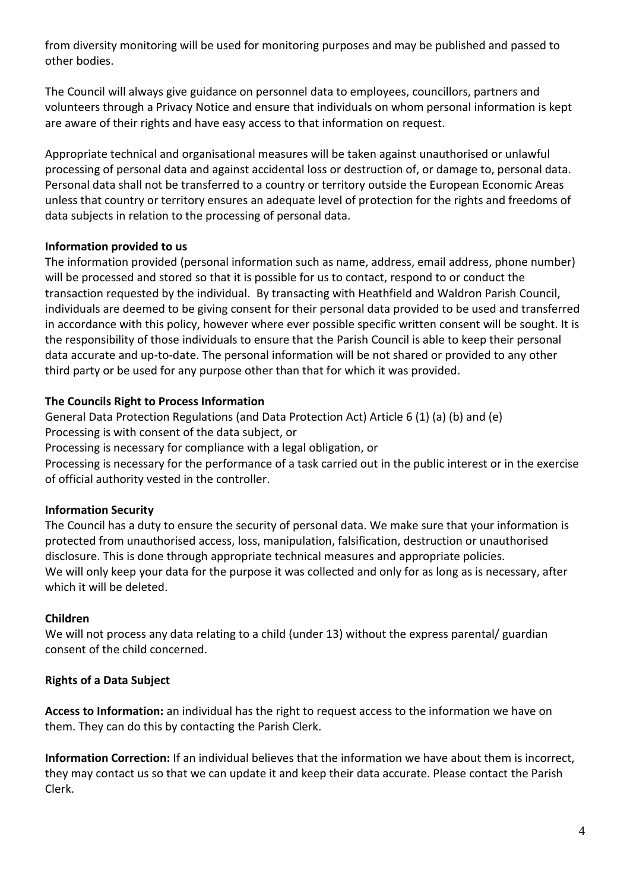from diversity monitoring will be used for monitoring purposes and may be published and passed to other bodies.

The Council will always give guidance on personnel data to employees, councillors, partners and volunteers through a Privacy Notice and ensure that individuals on whom personal information is kept are aware of their rights and have easy access to that information on request.

Appropriate technical and organisational measures will be taken against unauthorised or unlawful processing of personal data and against accidental loss or destruction of, or damage to, personal data. Personal data shall not be transferred to a country or territory outside the European Economic Areas unless that country or territory ensures an adequate level of protection for the rights and freedoms of data subjects in relation to the processing of personal data.

### **Information provided to us**

The information provided (personal information such as name, address, email address, phone number) will be processed and stored so that it is possible for us to contact, respond to or conduct the transaction requested by the individual. By transacting with Heathfield and Waldron Parish Council, individuals are deemed to be giving consent for their personal data provided to be used and transferred in accordance with this policy, however where ever possible specific written consent will be sought. It is the responsibility of those individuals to ensure that the Parish Council is able to keep their personal data accurate and up-to-date. The personal information will be not shared or provided to any other third party or be used for any purpose other than that for which it was provided.

### **The Councils Right to Process Information**

General Data Protection Regulations (and Data Protection Act) Article 6 (1) (a) (b) and (e) Processing is with consent of the data subject, or Processing is necessary for compliance with a legal obligation, or Processing is necessary for the performance of a task carried out in the public interest or in the exercise of official authority vested in the controller.

# **Information Security**

The Council has a duty to ensure the security of personal data. We make sure that your information is protected from unauthorised access, loss, manipulation, falsification, destruction or unauthorised disclosure. This is done through appropriate technical measures and appropriate policies. We will only keep your data for the purpose it was collected and only for as long as is necessary, after which it will be deleted.

### **Children**

We will not process any data relating to a child (under 13) without the express parental/ guardian consent of the child concerned.

# **Rights of a Data Subject**

**Access to Information:** an individual has the right to request access to the information we have on them. They can do this by contacting the Parish Clerk.

**Information Correction:** If an individual believes that the information we have about them is incorrect, they may contact us so that we can update it and keep their data accurate. Please contact the Parish Clerk.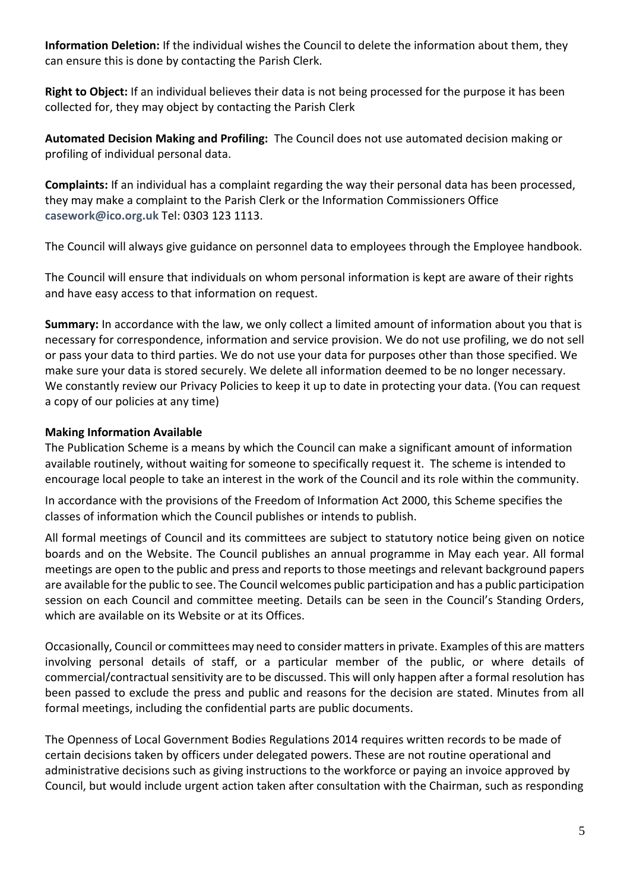**Information Deletion:** If the individual wishes the Council to delete the information about them, they can ensure this is done by contacting the Parish Clerk.

**Right to Object:** If an individual believes their data is not being processed for the purpose it has been collected for, they may object by contacting the Parish Clerk

**Automated Decision Making and Profiling:** The Council does not use automated decision making or profiling of individual personal data.

**Complaints:** If an individual has a complaint regarding the way their personal data has been processed, they may make a complaint to the Parish Clerk or the Information Commissioners Office **[casework@ico.org.uk](mailto:casework@ico.org.uk)** Tel: 0303 123 1113.

The Council will always give guidance on personnel data to employees through the Employee handbook.

The Council will ensure that individuals on whom personal information is kept are aware of their rights and have easy access to that information on request.

**Summary:** In accordance with the law, we only collect a limited amount of information about you that is necessary for correspondence, information and service provision. We do not use profiling, we do not sell or pass your data to third parties. We do not use your data for purposes other than those specified. We make sure your data is stored securely. We delete all information deemed to be no longer necessary. We constantly review our Privacy Policies to keep it up to date in protecting your data. (You can request a copy of our policies at any time)

### **Making Information Available**

The Publication Scheme is a means by which the Council can make a significant amount of information available routinely, without waiting for someone to specifically request it. The scheme is intended to encourage local people to take an interest in the work of the Council and its role within the community.

In accordance with the provisions of the Freedom of Information Act 2000, this Scheme specifies the classes of information which the Council publishes or intends to publish.

All formal meetings of Council and its committees are subject to statutory notice being given on notice boards and on the Website. The Council publishes an annual programme in May each year. All formal meetings are open to the public and press and reports to those meetings and relevant background papers are available for the public to see. The Council welcomes public participation and has a public participation session on each Council and committee meeting. Details can be seen in the Council's Standing Orders, which are available on its Website or at its Offices.

Occasionally, Council or committees may need to consider matters in private. Examples of this are matters involving personal details of staff, or a particular member of the public, or where details of commercial/contractual sensitivity are to be discussed. This will only happen after a formal resolution has been passed to exclude the press and public and reasons for the decision are stated. Minutes from all formal meetings, including the confidential parts are public documents.

The Openness of Local Government Bodies Regulations 2014 requires written records to be made of certain decisions taken by officers under delegated powers. These are not routine operational and administrative decisions such as giving instructions to the workforce or paying an invoice approved by Council, but would include urgent action taken after consultation with the Chairman, such as responding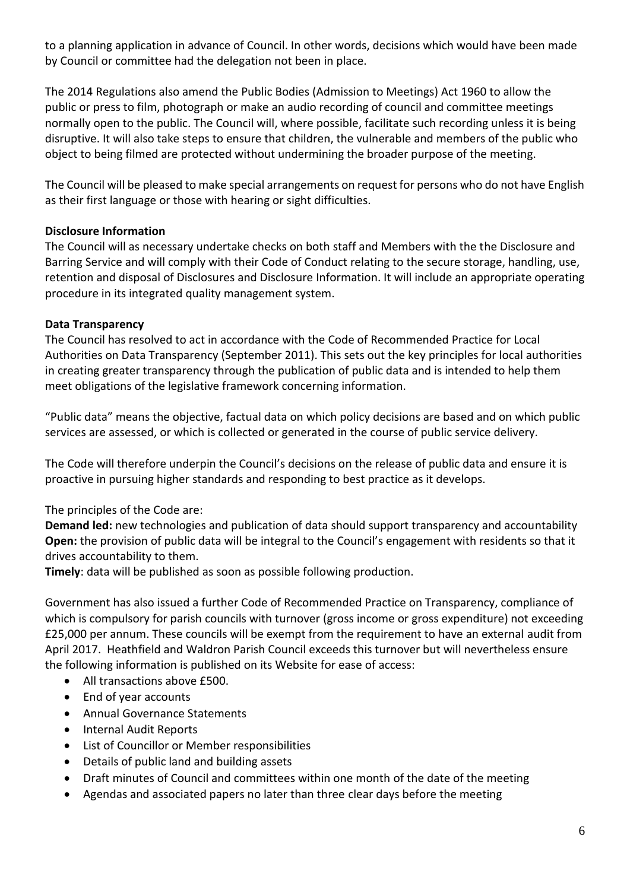to a planning application in advance of Council. In other words, decisions which would have been made by Council or committee had the delegation not been in place.

The 2014 Regulations also amend the Public Bodies (Admission to Meetings) Act 1960 to allow the public or press to film, photograph or make an audio recording of council and committee meetings normally open to the public. The Council will, where possible, facilitate such recording unless it is being disruptive. It will also take steps to ensure that children, the vulnerable and members of the public who object to being filmed are protected without undermining the broader purpose of the meeting.

The Council will be pleased to make special arrangements on request for persons who do not have English as their first language or those with hearing or sight difficulties.

### **Disclosure Information**

The Council will as necessary undertake checks on both staff and Members with the the Disclosure and Barring Service and will comply with their Code of Conduct relating to the secure storage, handling, use, retention and disposal of Disclosures and Disclosure Information. It will include an appropriate operating procedure in its integrated quality management system.

### **Data Transparency**

The Council has resolved to act in accordance with the Code of Recommended Practice for Local Authorities on Data Transparency (September 2011). This sets out the key principles for local authorities in creating greater transparency through the publication of public data and is intended to help them meet obligations of the legislative framework concerning information.

"Public data" means the objective, factual data on which policy decisions are based and on which public services are assessed, or which is collected or generated in the course of public service delivery.

The Code will therefore underpin the Council's decisions on the release of public data and ensure it is proactive in pursuing higher standards and responding to best practice as it develops.

# The principles of the Code are:

**Demand led:** new technologies and publication of data should support transparency and accountability **Open:** the provision of public data will be integral to the Council's engagement with residents so that it drives accountability to them.

**Timely**: data will be published as soon as possible following production.

Government has also issued a further Code of Recommended Practice on Transparency, compliance of which is compulsory for parish councils with turnover (gross income or gross expenditure) not exceeding £25,000 per annum. These councils will be exempt from the requirement to have an external audit from April 2017. Heathfield and Waldron Parish Council exceeds this turnover but will nevertheless ensure the following information is published on its Website for ease of access:

- All transactions above £500.
- End of year accounts
- Annual Governance Statements
- Internal Audit Reports
- List of Councillor or Member responsibilities
- Details of public land and building assets
- Draft minutes of Council and committees within one month of the date of the meeting
- Agendas and associated papers no later than three clear days before the meeting